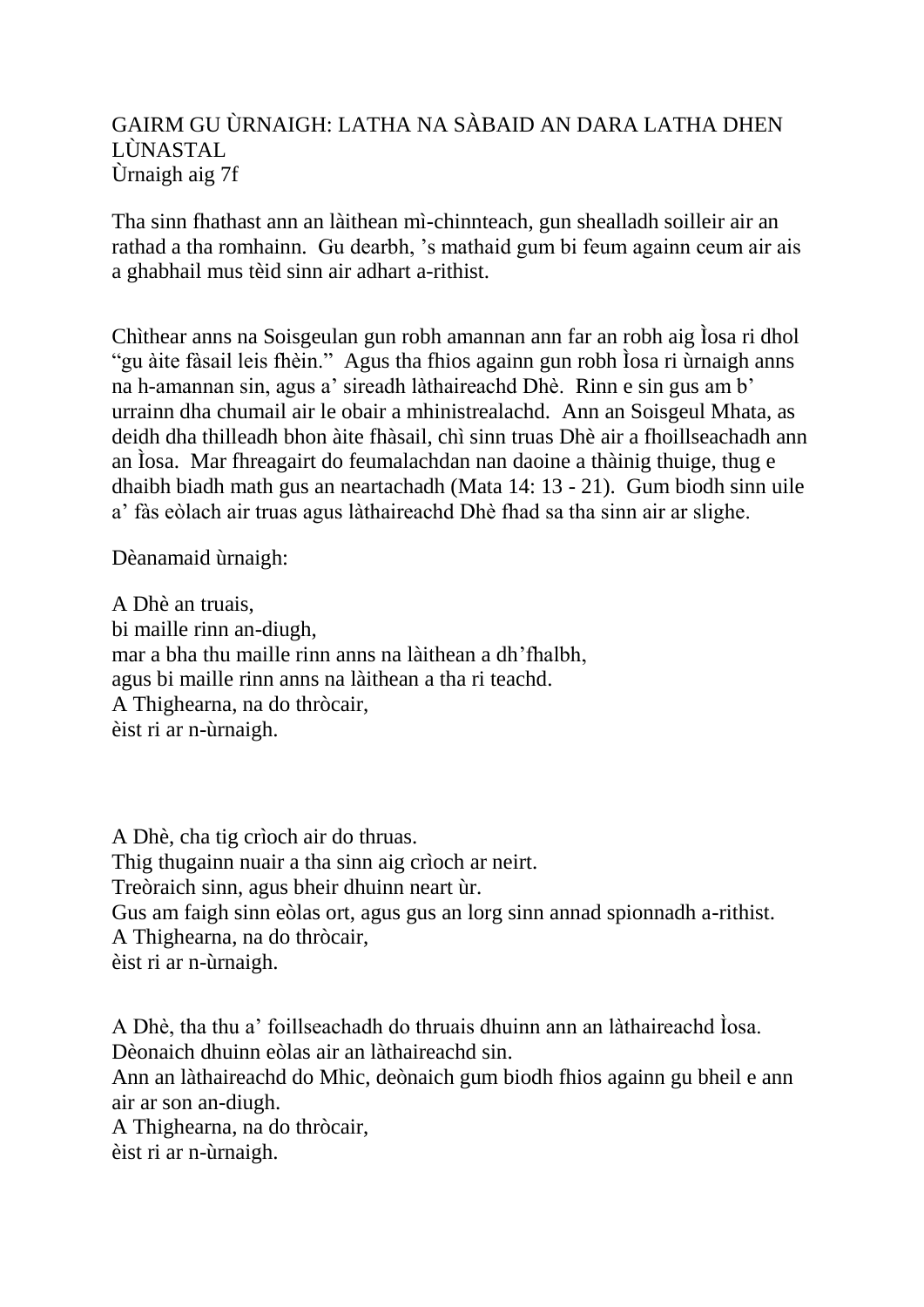## GAIRM GU ÙRNAIGH: LATHA NA SÀBAID AN DARA LATHA DHEN LÙNASTAL Ùrnaigh aig 7f

Tha sinn fhathast ann an làithean mì-chinnteach, gun shealladh soilleir air an rathad a tha romhainn. Gu dearbh, 's mathaid gum bi feum againn ceum air ais a ghabhail mus tèid sinn air adhart a-rithist.

Chìthear anns na Soisgeulan gun robh amannan ann far an robh aig Ìosa ri dhol "gu àite fàsail leis fhèin." Agus tha fhios againn gun robh Ìosa ri ùrnaigh anns na h-amannan sin, agus a' sireadh làthaireachd Dhè. Rinn e sin gus am b' urrainn dha chumail air le obair a mhinistrealachd. Ann an Soisgeul Mhata, as deidh dha thilleadh bhon àite fhàsail, chì sinn truas Dhè air a fhoillseachadh ann an Ìosa. Mar fhreagairt do feumalachdan nan daoine a thàinig thuige, thug e dhaibh biadh math gus an neartachadh (Mata 14: 13 - 21). Gum biodh sinn uile a' fàs eòlach air truas agus làthaireachd Dhè fhad sa tha sinn air ar slighe.

Dèanamaid ùrnaigh:

A Dhè an truais, bi maille rinn an-diugh, mar a bha thu maille rinn anns na làithean a dh'fhalbh, agus bi maille rinn anns na làithean a tha ri teachd. A Thighearna, na do thròcair, èist ri ar n-ùrnaigh.

A Dhè, cha tig crìoch air do thruas. Thig thugainn nuair a tha sinn aig crìoch ar neirt. Treòraich sinn, agus bheir dhuinn neart ùr. Gus am faigh sinn eòlas ort, agus gus an lorg sinn annad spionnadh a-rithist. A Thighearna, na do thròcair, èist ri ar n-ùrnaigh.

A Dhè, tha thu a' foillseachadh do thruais dhuinn ann an làthaireachd Ìosa. Dèonaich dhuinn eòlas air an làthaireachd sin.

Ann an làthaireachd do Mhic, deònaich gum biodh fhios againn gu bheil e ann air ar son an-diugh.

A Thighearna, na do thròcair,

èist ri ar n-ùrnaigh.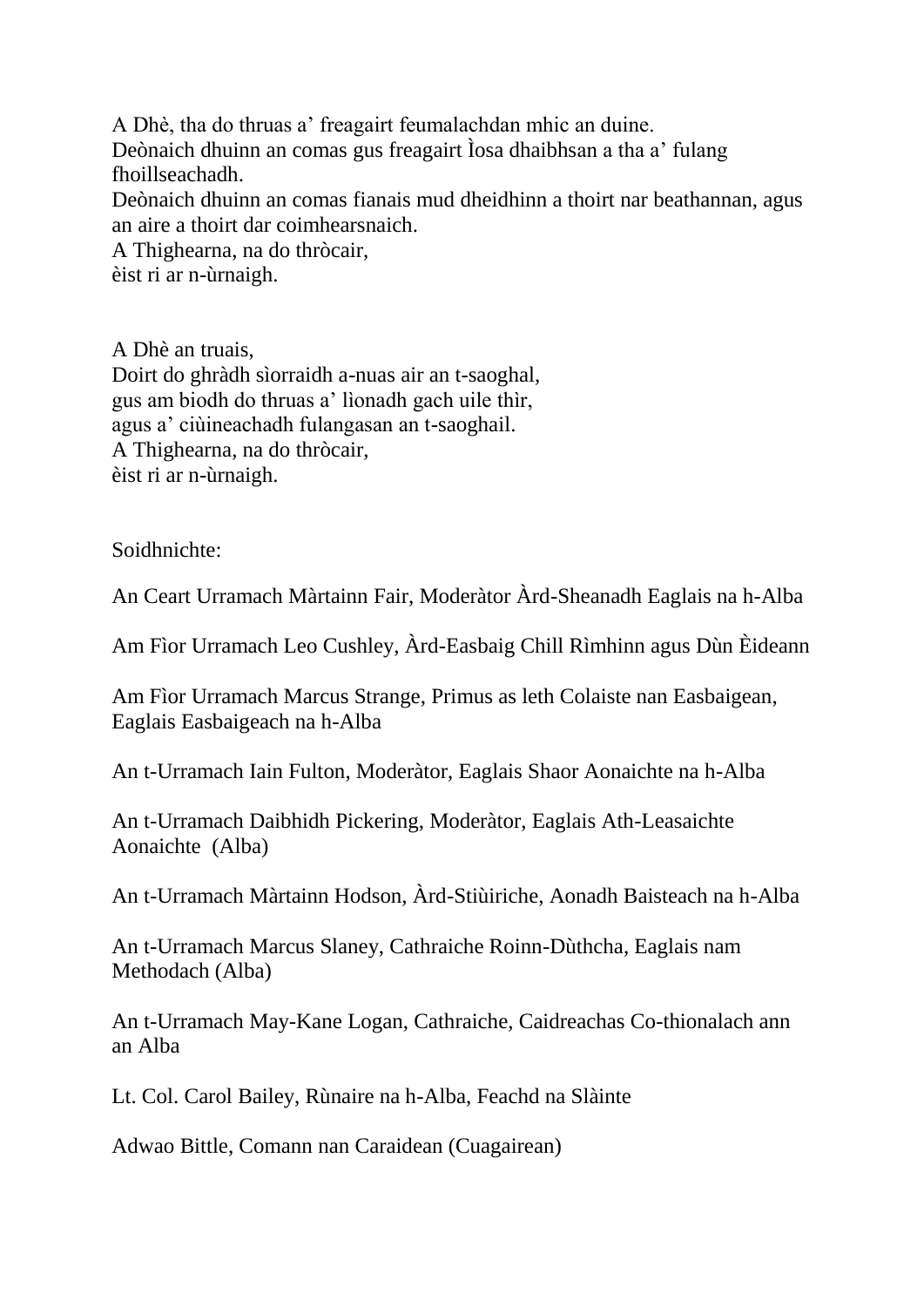A Dhè, tha do thruas a' freagairt feumalachdan mhic an duine. Deònaich dhuinn an comas gus freagairt Ìosa dhaibhsan a tha a' fulang fhoillseachadh.

Deònaich dhuinn an comas fianais mud dheidhinn a thoirt nar beathannan, agus an aire a thoirt dar coimhearsnaich.

A Thighearna, na do thròcair, èist ri ar n-ùrnaigh.

A Dhè an truais,

Doirt do ghràdh sìorraidh a-nuas air an t-saoghal, gus am biodh do thruas a' lìonadh gach uile thìr, agus a' ciùineachadh fulangasan an t-saoghail. A Thighearna, na do thròcair, èist ri ar n-ùrnaigh.

Soidhnichte:

An Ceart Urramach Màrtainn Fair, Moderàtor Àrd-Sheanadh Eaglais na h-Alba

Am Fìor Urramach Leo Cushley, Àrd-Easbaig Chill Rìmhinn agus Dùn Èideann

Am Fìor Urramach Marcus Strange, Primus as leth Colaiste nan Easbaigean, Eaglais Easbaigeach na h-Alba

An t-Urramach Iain Fulton, Moderàtor, Eaglais Shaor Aonaichte na h-Alba

An t-Urramach Daibhidh Pickering, Moderàtor, Eaglais Ath-Leasaichte Aonaichte (Alba)

An t-Urramach Màrtainn Hodson, Àrd-Stiùiriche, Aonadh Baisteach na h-Alba

An t-Urramach Marcus Slaney, Cathraiche Roinn-Dùthcha, Eaglais nam Methodach (Alba)

An t-Urramach May-Kane Logan, Cathraiche, Caidreachas Co-thionalach ann an Alba

Lt. Col. Carol Bailey, Rùnaire na h-Alba, Feachd na Slàinte

Adwao Bittle, Comann nan Caraidean (Cuagairean)